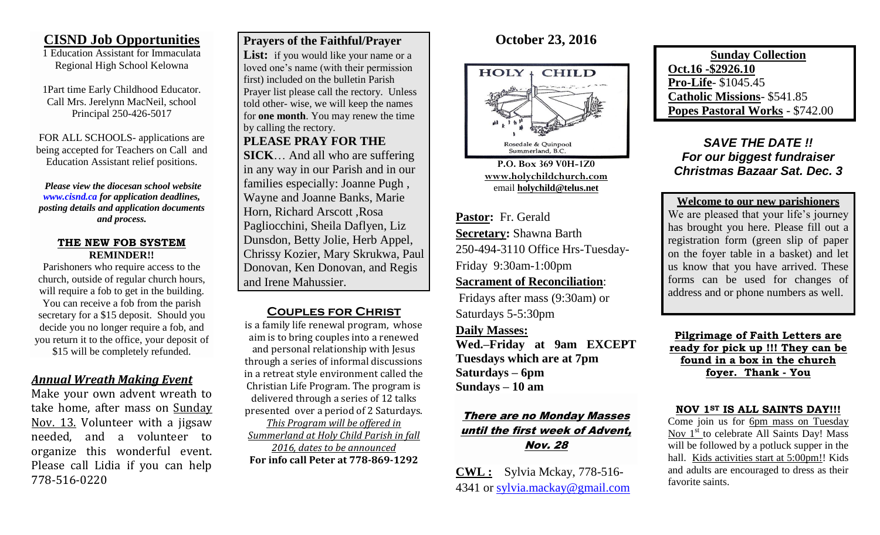### **CISND Job Opportunities**

1 Education Assistant for Immaculata Regional High School Kelowna

1Part time Early Childhood Educator. Call Mrs. Jerelynn MacNeil, school Principal 250-426-5017

FOR ALL SCHOOLS- applications are being accepted for Teachers on Call and Education Assistant relief positions.

*Please view the diocesan school website [www.cisnd.ca](http://www.cisnd.ca/) for application deadlines, posting details and application documents and process.* 

#### **THE NEW FOB SYSTEM REMINDER!!**

Parishoners who require access to the church, outside of regular church hours, will require a fob to get in the building. You can receive a fob from the parish secretary for a \$15 deposit. Should you decide you no longer require a fob, and you return it to the office, your deposit of \$15 will be completely refunded.

### *Annual Wreath Making Event*

Make your own advent wreath to take home, after mass on Sunday Nov. 13. Volunteer with a jigsaw needed, and a volunteer to organize this wonderful event. Please call Lidia if you can help 778-516-0220

### **Prayers of the Faithful/Prayer**

List: if you would like your name or a loved one's name (with their permission first) included on the bulletin Parish Prayer list please call the rectory. Unless told other- wise, we will keep the names for **one month**. You may renew the time by calling the rectory.

**PLEASE PRAY FOR THE** 

**SICK**… And all who are suffering in any way in our Parish and in our families especially: Joanne Pugh , Wayne and Joanne Banks, Marie Horn, Richard Arscott ,Rosa Pagliocchini, Sheila Daflyen, Liz Dunsdon, Betty Jolie, Herb Appel, Chrissy Kozier, Mary Skrukwa, Paul Donovan, Ken Donovan, and Regis and Irene Mahussier.

### **Couples for Christ**

is a family life renewal program, whose aim is to bring couples into a renewed and personal relationship with Jesus through a series of informal discussions in a retreat style environment called the Christian Life Program. The program is delivered through a series of 12 talks presented over a period of 2 Saturdays. *This Program will be offered in Summerland at Holy Child Parish in fall 2016, dates to be announced* **For info call Peter at 778-869-1292**

# **October 23, 2016**



**P.O. Box 369 V0H-1Z0 [www.holychildchurch.com](http://www.holychildchurch.com/)** email **holychild@telus.net**

**Pastor:** Fr. Gerald **Secretary:** Shawna Barth 250-494-3110 Office Hrs-Tuesday-Friday 9:30am-1:00pm

### **Sacrament of Reconciliation**:

Fridays after mass (9:30am) or Saturdays 5-5:30pm

**Daily Masses:** 

**Wed.–Friday at 9am EXCEPT Tuesdays which are at 7pm Saturdays – 6pm Sundays – 10 am**

# There are no Monday Masses until the first week of Advent, Nov. 28

**CWL :** Sylvia Mckay, 778-516- 4341 or [sylvia.mackay@gmail.com](mailto:sylvia.mackay@gmail.com)

**Sunday Collection Oct.16 -\$2926.10 Pro-Life**- \$1045.45 **Catholic Missions**- \$541.85 **Popes Pastoral Works** - \$742.00

*SAVE THE DATE !! For our biggest fundraiser Christmas Bazaar Sat. Dec. 3*

**Welcome to our new parishioners** We are pleased that your life's journey has brought you here. Please fill out a registration form (green slip of paper on the foyer table in a basket) and let us know that you have arrived. These forms can be used for changes of address and or phone numbers as well.

**Pilgrimage of Faith Letters are ready for pick up !!! They can be found in a box in the church foyer. Thank - You**

#### **NOV 1ST IS ALL SAINTS DAY!!!**

Come join us for 6pm mass on Tuesday Nov  $1<sup>st</sup>$  to celebrate All Saints Day! Mass will be followed by a potluck supper in the hall. Kids activities start at 5:00pm!! Kids and adults are encouraged to dress as their favorite saints.